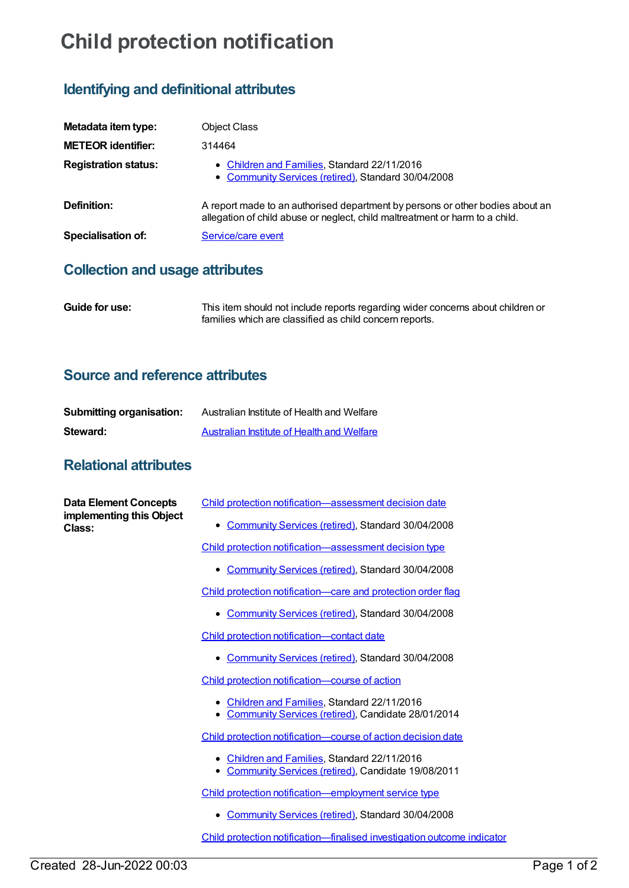# **Child protection notification**

## **Identifying and definitional attributes**

| Metadata item type:         | <b>Object Class</b>                                                                                                                                           |
|-----------------------------|---------------------------------------------------------------------------------------------------------------------------------------------------------------|
| <b>METEOR identifier:</b>   | 314464                                                                                                                                                        |
| <b>Registration status:</b> | • Children and Families, Standard 22/11/2016<br>• Community Services (retired), Standard 30/04/2008                                                           |
| Definition:                 | A report made to an authorised department by persons or other bodies about an<br>allegation of child abuse or neglect, child maltreatment or harm to a child. |
| <b>Specialisation of:</b>   | Service/care event                                                                                                                                            |

#### **Collection and usage attributes**

**Guide for use:** This item should not include reports regarding wider concerns about children or families which are classified as child concern reports.

#### **Source and reference attributes**

| <b>Submitting organisation:</b> | Australian Institute of Health and Welfare |
|---------------------------------|--------------------------------------------|
| Steward:                        | Australian Institute of Health and Welfare |

### **Relational attributes**

| <b>Data Element Concepts</b><br>implementing this Object<br>Class: | Child protection notification-assessment decision date                                                        |
|--------------------------------------------------------------------|---------------------------------------------------------------------------------------------------------------|
|                                                                    | <b>Community Services (retired), Standard 30/04/2008</b><br>$\bullet$                                         |
|                                                                    | Child protection notification-assessment decision type                                                        |
|                                                                    | Community Services (retired), Standard 30/04/2008<br>$\bullet$                                                |
|                                                                    | Child protection notification-care and protection order flag                                                  |
|                                                                    | • Community Services (retired), Standard 30/04/2008                                                           |
|                                                                    | Child protection notification-contact date                                                                    |
|                                                                    | • Community Services (retired), Standard 30/04/2008                                                           |
|                                                                    | Child protection notification-course of action                                                                |
|                                                                    | Children and Families, Standard 22/11/2016<br>• Community Services (retired), Candidate 28/01/2014            |
|                                                                    | Child protection notification—course of action decision date                                                  |
|                                                                    | Children and Families, Standard 22/11/2016<br>Community Services (retired), Candidate 19/08/2011<br>$\bullet$ |
|                                                                    | Child protection notification-employment service type                                                         |
|                                                                    | <b>Community Services (retired), Standard 30/04/2008</b>                                                      |
|                                                                    | Child protection notification-finalised investigation outcome indicator                                       |